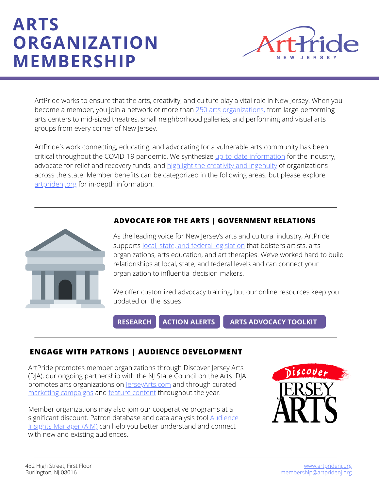# **ARTS ORGANIZATION MEMBERSHIP**



ArtPride works to ensure that the arts, creativity, and culture play a vital role in New Jersey. When you become a member, you join a network of more than 250 arts [organizations](https://artpridenj.org/meet-our-members), from large performing arts centers to mid-sized theatres, small [neighborhood](http://jerseyarts.com/) galleries, and performing and visual arts groups from every corner of New Jersey.

ArtPride's work connecting, educating, and advocating for a vulnerable arts community has been critical throughout the COVID-19 pandemic. We synthesize up-to-date [information](https://artpridenj.org/covid19) for the industry, advocate for relief and recovery funds, and highlight the creativity and [ingenuity](http://jerseyarts.com/) of organizations across the state. Member benefits can be categorized in the following areas, but please explore [artpridenj.org](http://artpridenj.org/) for in-depth information.



#### **ADVOCATE FOR THE ARTS | GOVERNMENT RELATIONS**

As the leading voice for New Jersey's arts and cultural industry, ArtPride supports local, state, and federal [legislation](https://artpridenj.org/govtrelations) that bolsters artists, arts organizations, arts education, and art therapies. We've worked hard to build relationships at local, state, and federal levels and can connect your organization to influential decision-makers.

We offer customized advocacy training, but our online resources keep you updated on the issues:

**[RESEARCH](https://artpridenj.org/research) [ACTION](https://artpridenj.org/action-alerts) ALERTS ARTS [ADVOCACY](https://artpridenj.org/advocacy-toolkit) TOOLKIT**

#### **ENGAGE WITH PATRONS | AUDIENCE DEVELOPMENT**

ArtPride promotes member organizations through Discover Jersey Arts (DJA), our ongoing partnership with the NJ State Council on the Arts. DJA promotes arts organizations on [JerseyArts.com](http://jerseyarts.com/) and through curated marketing [campaigns](https://artpridenj.org/seasonal-campaigns) and feature [content](https://jerseyartsfeatures.com/) throughout the year.

Member organizations may also join our cooperative programs at a significant discount. Patron database and data analysis tool Audience Insights Manager (AIM) can help you better [understand](https://artpridenj.org/aim) and connect with new and existing audiences.